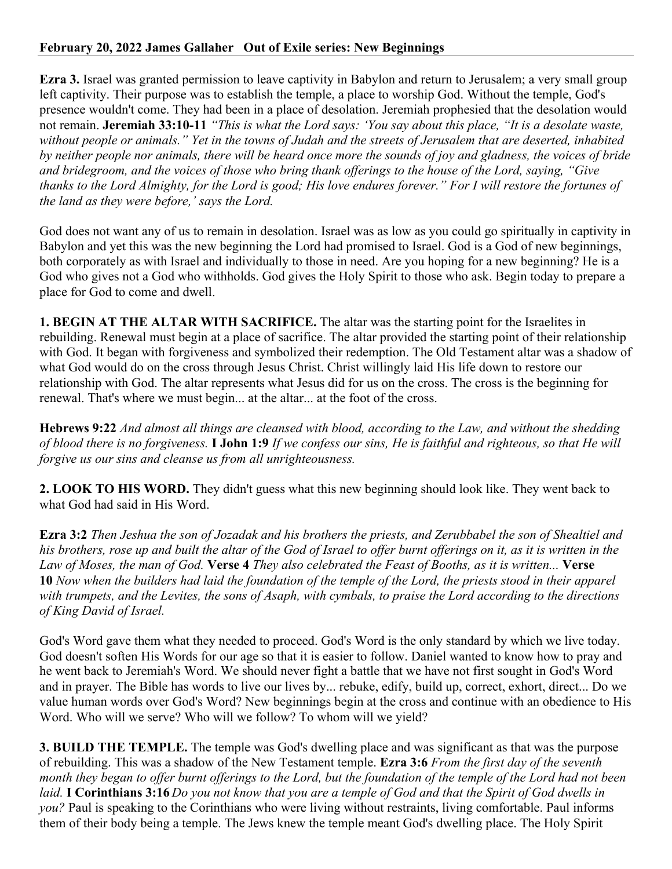## **February 20, 2022 James Gallaher Out of Exile series: New Beginnings**

**Ezra 3.** Israel was granted permission to leave captivity in Babylon and return to Jerusalem; a very small group left captivity. Their purpose was to establish the temple, a place to worship God. Without the temple, God's presence wouldn't come. They had been in a place of desolation. Jeremiah prophesied that the desolation would not remain. **Jeremiah 33:10-11** *"This is what the Lord says: 'You say about this place, "It is a desolate waste, without people or animals." Yet in the towns of Judah and the streets of Jerusalem that are deserted, inhabited by neither people nor animals, there will be heard once more the sounds of joy and gladness, the voices of bride and bridegroom, and the voices of those who bring thank offerings to the house of the Lord, saying, "Give thanks to the Lord Almighty, for the Lord is good; His love endures forever." For I will restore the fortunes of the land as they were before,' says the Lord.*

God does not want any of us to remain in desolation. Israel was as low as you could go spiritually in captivity in Babylon and yet this was the new beginning the Lord had promised to Israel. God is a God of new beginnings, both corporately as with Israel and individually to those in need. Are you hoping for a new beginning? He is a God who gives not a God who withholds. God gives the Holy Spirit to those who ask. Begin today to prepare a place for God to come and dwell.

**1. BEGIN AT THE ALTAR WITH SACRIFICE.** The altar was the starting point for the Israelites in rebuilding. Renewal must begin at a place of sacrifice. The altar provided the starting point of their relationship with God. It began with forgiveness and symbolized their redemption. The Old Testament altar was a shadow of what God would do on the cross through Jesus Christ. Christ willingly laid His life down to restore our relationship with God. The altar represents what Jesus did for us on the cross. The cross is the beginning for renewal. That's where we must begin... at the altar... at the foot of the cross.

**Hebrews 9:22** *And almost all things are cleansed with blood, according to the Law, and without the shedding of blood there is no forgiveness.* **I John 1:9** *If we confess our sins, He is faithful and righteous, so that He will forgive us our sins and cleanse us from all unrighteousness.*

**2. LOOK TO HIS WORD.** They didn't guess what this new beginning should look like. They went back to what God had said in His Word.

**Ezra 3:2** *Then Jeshua the son of Jozadak and his brothers the priests, and Zerubbabel the son of Shealtiel and his brothers, rose up and built the altar of the God of Israel to offer burnt offerings on it, as it is written in the Law of Moses, the man of God.* **Verse 4** *They also celebrated the Feast of Booths, as it is written...* **Verse 10** *Now when the builders had laid the foundation of the temple of the Lord, the priests stood in their apparel with trumpets, and the Levites, the sons of Asaph, with cymbals, to praise the Lord according to the directions of King David of Israel.*

God's Word gave them what they needed to proceed. God's Word is the only standard by which we live today. God doesn't soften His Words for our age so that it is easier to follow. Daniel wanted to know how to pray and he went back to Jeremiah's Word. We should never fight a battle that we have not first sought in God's Word and in prayer. The Bible has words to live our lives by... rebuke, edify, build up, correct, exhort, direct... Do we value human words over God's Word? New beginnings begin at the cross and continue with an obedience to His Word. Who will we serve? Who will we follow? To whom will we yield?

**3. BUILD THE TEMPLE.** The temple was God's dwelling place and was significant as that was the purpose of rebuilding. This was a shadow of the New Testament temple. **Ezra 3:6** *From the first day of the seventh month they began to offer burnt offerings to the Lord, but the foundation of the temple of the Lord had not been laid.* **I Corinthians 3:16** *Do you not know that you are a temple of God and that the Spirit of God dwells in you?* Paul is speaking to the Corinthians who were living without restraints, living comfortable. Paul informs them of their body being a temple. The Jews knew the temple meant God's dwelling place. The Holy Spirit